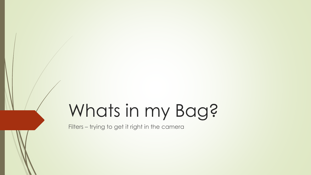# Whats in my Bag?

Filters – trying to get it right in the camera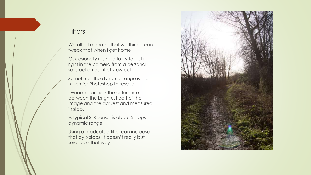### **Filters**

We all take photos that we think 'I can tweak that when I get home

Occasionally it is nice to try to get it right in the camera from a personal satisfaction point of view but

Sometimes the dynamic range is too much for Photoshop to rescue

Dynamic range is the difference between the brightest part of the image and the darkest and measured in stops

A typical SLR sensor is about 5 stops dynamic range

Using a graduated filter can increase that by 6 stops, it doesn't really but sure looks that way

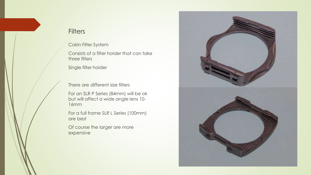### **Filters**

Cokin Filter System

Consists of a filter holder that can take three filters

Single filter holder

There are different size filters

For an SLR P Series (84mm) will be ok but will affect a wide angle lens 10- 16mm

For a full frame SLR L Series (100mm) are best

Of course the larger are more expensive

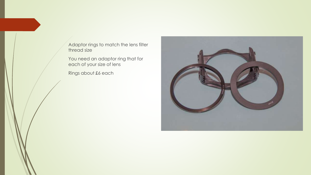Adaptor rings to match the lens filter thread size

You need an adaptor ring that for each of your size of lens

Rings about £6 each

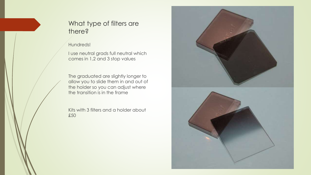## What type of filters are there?

Hundreds!

I use neutral grads full neutral which comes in 1,2 and 3 stop values

The graduated are slightly longer to allow you to slide them in and out of the holder so you can adjust where the transition is in the frame

Kits with 3 filters and a holder about £50

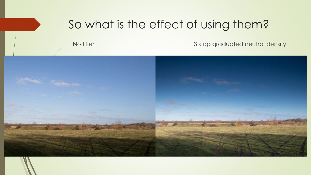## So what is the effect of using them?

No filter 3 stop graduated neutral density

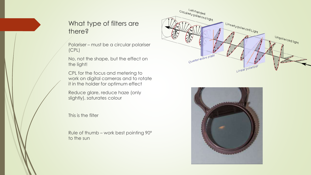## What type of filters are there?

Polariser – must be a circular polariser (CPL)

No, not the shape, but the effect on the light!

CPL for the focus and metering to work on digital cameras and to rotate it in the holder for optimum effect

Reduce glare, reduce haze (only slightly), saturates colour

This is the filter

Rule of thumb – work best pointing 90º to the sun



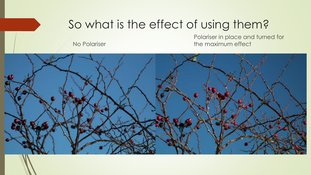## So what is the effect of using them?

Polariser in place and turned for the maximum effect

No Polariser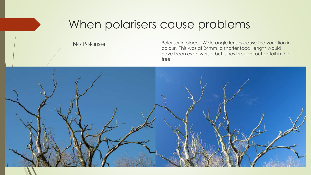## When polarisers cause problems

No Polariser **Polariser Engle** Polariser in place. Wide angle lenses cause the variation in colour. This was at 24mm, a shorter focal length would have been even worse, but is has brought out detail in the tree

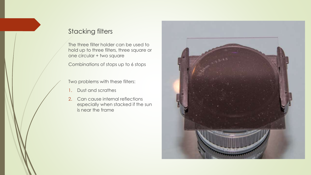## Stacking filters

The three filter holder can be used to hold up to three filters, three square or one circular + two square

Combinations of stops up to 6 stops

Two problems with these filters:

- 1. Dust and scrathes
- 2. Can cause internal reflections especially when stacked if the sun is near the frame

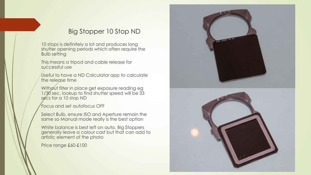## Big Stopper 10 Stop ND

10 stops is definitely a lot and produces long shutter opening periods which often require the Bulb setting

This means a tripod and cable release for successful use

Useful to have a ND Calculator app to calculate the release time

Withøut filter in place get exposure reading eg 1/30 sec, lookup to find shutter speed will be 33 secs for a 10 stop ND

Focus and set autofocus OFF

Select Bulb, ensure ISO and Aperture remain the same so Manual mode really is the best option

White balance is best left on auto, Big Stoppers generally leave a colour cast but that can add to artistic element of the photo

Price range £60-£100

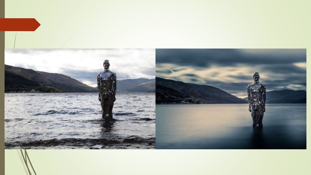